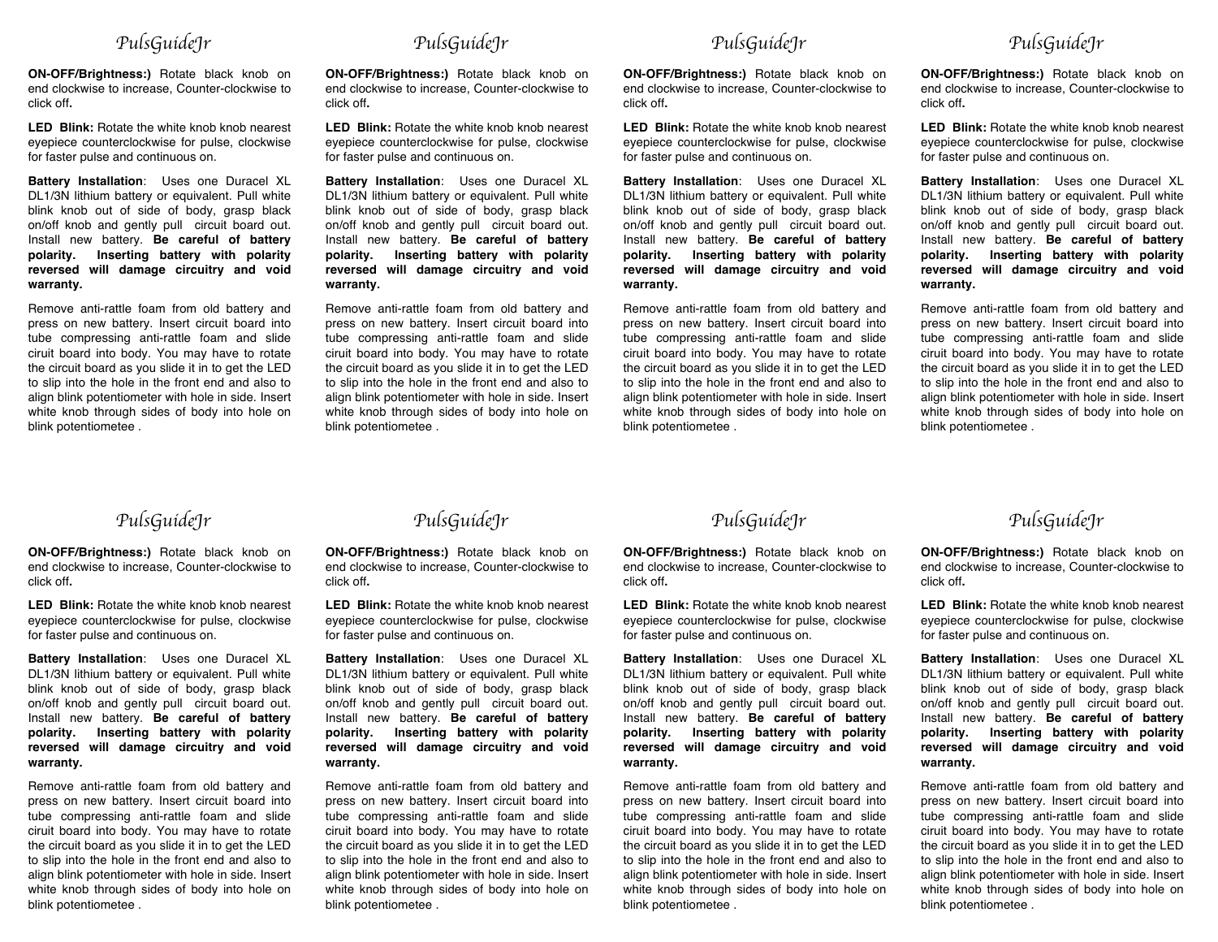## *PulsGuideJr*

**ON-OFF/Brightness:)** Rotate black knob on end clockwise to increase, Counter-clockwise to click off**.**

**LED Blink:** Rotate the white knob knob nearest eyepiece counterclockwise for pulse, clockwise for faster pulse and continuous on.

**Battery Installation**: Uses one Duracel XL DL1/3N lithium battery or equivalent. Pull white blink knob out of side of body, grasp black on/off knob and gently pull circuit board out. Install new battery. **Be careful of battery polarity. Inserting battery with polarity reversed will damage circuitry and void warranty.**

Remove anti-rattle foam from old battery and press on new battery. Insert circuit board into tube compressing anti-rattle foam and slide ciruit board into body. You may have to rotate the circuit board as you slide it in to get the LED to slip into the hole in the front end and also to align blink potentiometer with hole in side. Insert white knob through sides of body into hole on blink potentiometee .



**ON-OFF/Brightness:)** Rotate black knob on end clockwise to increase, Counter-clockwise to click off**.**

**LED Blink:** Rotate the white knob knob nearest eyepiece counterclockwise for pulse, clockwise for faster pulse and continuous on.

**Battery Installation**: Uses one Duracel XL DL1/3N lithium battery or equivalent. Pull white blink knob out of side of body, grasp black on/off knob and gently pull circuit board out. Install new battery. **Be careful of battery polarity. Inserting battery with polarity reversed will damage circuitry and void warranty.**

Remove anti-rattle foam from old battery and press on new battery. Insert circuit board into tube compressing anti-rattle foam and slide ciruit board into body. You may have to rotate the circuit board as you slide it in to get the LED to slip into the hole in the front end and also to align blink potentiometer with hole in side. Insert white knob through sides of body into hole on blink potentiometee .

*PulsGuideJr* 

**ON-OFF/Brightness:)** Rotate black knob on end clockwise to increase, Counter-clockwise to click off**.**

**LED Blink:** Rotate the white knob knob nearest eyepiece counterclockwise for pulse, clockwise for faster pulse and continuous on.

**Battery Installation**: Uses one Duracel XL DL1/3N lithium battery or equivalent. Pull white blink knob out of side of body, grasp black on/off knob and gently pull circuit board out. Install new battery. **Be careful of battery polarity. Inserting battery with polarity reversed will damage circuitry and void warranty.**

Remove anti-rattle foam from old battery and press on new battery. Insert circuit board into tube compressing anti-rattle foam and slide ciruit board into body. You may have to rotate the circuit board as you slide it in to get the LED to slip into the hole in the front end and also to align blink potentiometer with hole in side. Insert white knob through sides of body into hole on blink potentiometee .

## *PulsGuideJr*

**ON-OFF/Brightness:)** Rotate black knob on end clockwise to increase, Counter-clockwise to click off**.**

**LED Blink:** Rotate the white knob knob nearest eyepiece counterclockwise for pulse, clockwise for faster pulse and continuous on.

**Battery Installation**: Uses one Duracel XL DL1/3N lithium battery or equivalent. Pull white blink knob out of side of body, grasp black on/off knob and gently pull circuit board out. Install new battery. **Be careful of battery polarity. Inserting battery with polarity reversed will damage circuitry and void warranty.**

Remove anti-rattle foam from old battery and press on new battery. Insert circuit board into tube compressing anti-rattle foam and slide ciruit board into body. You may have to rotate the circuit board as you slide it in to get the LED to slip into the hole in the front end and also to align blink potentiometer with hole in side. Insert white knob through sides of body into hole on blink potentiometee .

## *PulsGuideJr*

**ON-OFF/Brightness:)** Rotate black knob on end clockwise to increase, Counter-clockwise to click off**.**

**LED Blink:** Rotate the white knob knob nearest eyepiece counterclockwise for pulse, clockwise for faster pulse and continuous on.

**Battery Installation**: Uses one Duracel XL DL1/3N lithium battery or equivalent. Pull white blink knob out of side of body, grasp black on/off knob and gently pull circuit board out. Install new battery. **Be careful of battery polarity. Inserting battery with polarity reversed will damage circuitry and void warranty.**

Remove anti-rattle foam from old battery and press on new battery. Insert circuit board into tube compressing anti-rattle foam and slide ciruit board into body. You may have to rotate the circuit board as you slide it in to get the LED to slip into the hole in the front end and also to align blink potentiometer with hole in side. Insert white knob through sides of body into hole on blink potentiometee .

*PulsGuideJr* 

**ON-OFF/Brightness:)** Rotate black knob on end clockwise to increase, Counter-clockwise to click off**.**

**LED Blink:** Rotate the white knob knob nearest eyepiece counterclockwise for pulse, clockwise for faster pulse and continuous on.

**Battery Installation**: Uses one Duracel XL DL1/3N lithium battery or equivalent. Pull white blink knob out of side of body, grasp black on/off knob and gently pull circuit board out. Install new battery. **Be careful of battery polarity. Inserting battery with polarity reversed will damage circuitry and void warranty.**

Remove anti-rattle foam from old battery and press on new battery. Insert circuit board into tube compressing anti-rattle foam and slide ciruit board into body. You may have to rotate the circuit board as you slide it in to get the LED to slip into the hole in the front end and also to align blink potentiometer with hole in side. Insert white knob through sides of body into hole on blink potentiometee .

*PulsGuideJr* 

**ON-OFF/Brightness:)** Rotate black knob on end clockwise to increase, Counter-clockwise to click off**.**

**LED Blink:** Rotate the white knob knob nearest eyepiece counterclockwise for pulse, clockwise for faster pulse and continuous on.

**Battery Installation**: Uses one Duracel XL DL1/3N lithium battery or equivalent. Pull white blink knob out of side of body, grasp black on/off knob and gently pull circuit board out. Install new battery. **Be careful of battery polarity. Inserting battery with polarity reversed will damage circuitry and void warranty.**

Remove anti-rattle foam from old battery and press on new battery. Insert circuit board into tube compressing anti-rattle foam and slide ciruit board into body. You may have to rotate the circuit board as you slide it in to get the LED to slip into the hole in the front end and also to align blink potentiometer with hole in side. Insert white knob through sides of body into hole on blink potentiometee .

## *PulsGuideJr*

**ON-OFF/Brightness:)** Rotate black knob on end clockwise to increase, Counter-clockwise to click off**.**

**LED Blink:** Rotate the white knob knob nearest eyepiece counterclockwise for pulse, clockwise for faster pulse and continuous on.

**Battery Installation**: Uses one Duracel XL DL1/3N lithium battery or equivalent. Pull white blink knob out of side of body, grasp black on/off knob and gently pull circuit board out. Install new battery. **Be careful of battery polarity. Inserting battery with polarity reversed will damage circuitry and void warranty.**

Remove anti-rattle foam from old battery and press on new battery. Insert circuit board into tube compressing anti-rattle foam and slide ciruit board into body. You may have to rotate the circuit board as you slide it in to get the LED to slip into the hole in the front end and also to align blink potentiometer with hole in side. Insert white knob through sides of body into hole on blink potentiometee .